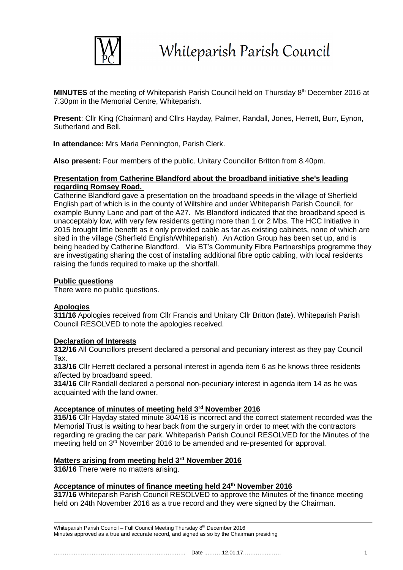

MINUTES of the meeting of Whiteparish Parish Council held on Thursday 8<sup>th</sup> December 2016 at 7.30pm in the Memorial Centre, Whiteparish.

**Present**: Cllr King (Chairman) and Cllrs Hayday, Palmer, Randall, Jones, Herrett, Burr, Eynon, Sutherland and Bell.

**In attendance:** Mrs Maria Pennington, Parish Clerk.

**Also present:** Four members of the public. Unitary Councillor Britton from 8.40pm.

## **Presentation from Catherine Blandford about the broadband initiative she's leading regarding Romsey Road.**

Catherine Blandford gave a presentation on the broadband speeds in the village of Sherfield English part of which is in the county of Wiltshire and under Whiteparish Parish Council, for example Bunny Lane and part of the A27. Ms Blandford indicated that the broadband speed is unacceptably low, with very few residents getting more than 1 or 2 Mbs. The HCC Initiative in 2015 brought little benefit as it only provided cable as far as existing cabinets, none of which are sited in the village (Sherfield English/Whiteparish). An Action Group has been set up, and is being headed by Catherine Blandford. Via BT's Community Fibre Partnerships programme they are investigating sharing the cost of installing additional fibre optic cabling, with local residents raising the funds required to make up the shortfall.

# **Public questions**

There were no public questions.

## **Apologies**

**311/16** Apologies received from Cllr Francis and Unitary Cllr Britton (late). Whiteparish Parish Council RESOLVED to note the apologies received.

## **Declaration of Interests**

**312/16** All Councillors present declared a personal and pecuniary interest as they pay Council Tax.

**313/16** Cllr Herrett declared a personal interest in agenda item 6 as he knows three residents affected by broadband speed.

**314/16** Cllr Randall declared a personal non-pecuniary interest in agenda item 14 as he was acquainted with the land owner.

## **Acceptance of minutes of meeting held 3rd November 2016**

**315/16** Cllr Hayday stated minute 304/16 is incorrect and the correct statement recorded was the Memorial Trust is waiting to hear back from the surgery in order to meet with the contractors regarding re grading the car park. Whiteparish Parish Council RESOLVED for the Minutes of the meeting held on 3<sup>rd</sup> November 2016 to be amended and re-presented for approval.

## **Matters arising from meeting held 3rd November 2016**

**316/16** There were no matters arising.

# **Acceptance of minutes of finance meeting held 24th November 2016**

**317/16** Whiteparish Parish Council RESOLVED to approve the Minutes of the finance meeting held on 24th November 2016 as a true record and they were signed by the Chairman.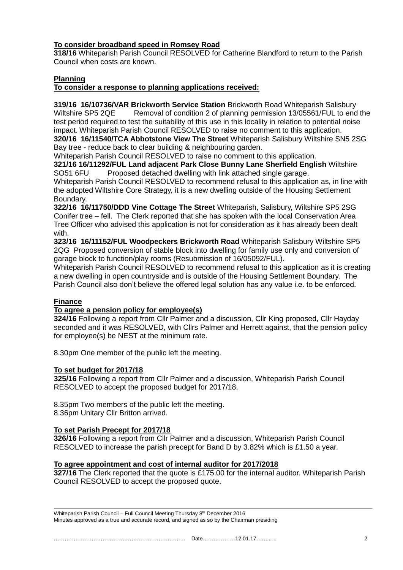# **To consider broadband speed in Romsey Road**

**318/16** Whiteparish Parish Council RESOLVED for Catherine Blandford to return to the Parish Council when costs are known.

# **Planning**

# **To consider a response to planning applications received:**

**319/16 16/10736/VAR Brickworth Service Station** Brickworth Road Whiteparish Salisbury Wiltshire SP5 2QE Removal of condition 2 of planning permission 13/05561/FUL to end the test period required to test the suitability of this use in this locality in relation to potential noise impact. Whiteparish Parish Council RESOLVED to raise no comment to this application.

**320/16 16/11540/TCA Abbotstone View The Street** Whiteparish Salisbury Wiltshire SN5 2SG Bay tree - reduce back to clear building & neighbouring garden.

Whiteparish Parish Council RESOLVED to raise no comment to this application.

#### **321/16 16/11292/FUL Land adjacent Park Close Bunny Lane Sherfield English** Wiltshire SO51 6FU Proposed detached dwelling with link attached single garage.

Whiteparish Parish Council RESOLVED to recommend refusal to this application as, in line with the adopted Wiltshire Core Strategy, it is a new dwelling outside of the Housing Settlement Boundary.

**322/16 16/11750/DDD Vine Cottage The Street** Whiteparish, Salisbury, Wiltshire SP5 2SG Conifer tree – fell. The Clerk reported that she has spoken with the local Conservation Area Tree Officer who advised this application is not for consideration as it has already been dealt with.

**323/16 16/11152/FUL Woodpeckers Brickworth Road** Whiteparish Salisbury Wiltshire SP5 2QG Proposed conversion of stable block into dwelling for family use only and conversion of garage block to function/play rooms (Resubmission of 16/05092/FUL).

Whiteparish Parish Council RESOLVED to recommend refusal to this application as it is creating a new dwelling in open countryside and is outside of the Housing Settlement Boundary. The Parish Council also don't believe the offered legal solution has any value i.e. to be enforced.

## **Finance**

## **To agree a pension policy for employee(s)**

**324/16** Following a report from Cllr Palmer and a discussion, Cllr King proposed, Cllr Hayday seconded and it was RESOLVED, with Cllrs Palmer and Herrett against, that the pension policy for employee(s) be NEST at the minimum rate.

8.30pm One member of the public left the meeting.

## **To set budget for 2017/18**

**325/16** Following a report from Cllr Palmer and a discussion, Whiteparish Parish Council RESOLVED to accept the proposed budget for 2017/18.

8.35pm Two members of the public left the meeting.

8.36pm Unitary Cllr Britton arrived.

## **To set Parish Precept for 2017/18**

**326/16** Following a report from Cllr Palmer and a discussion, Whiteparish Parish Council RESOLVED to increase the parish precept for Band D by 3.82% which is £1.50 a year.

## **To agree appointment and cost of internal auditor for 2017/2018**

**327/16** The Clerk reported that the quote is £175.00 for the internal auditor. Whiteparish Parish Council RESOLVED to accept the proposed quote.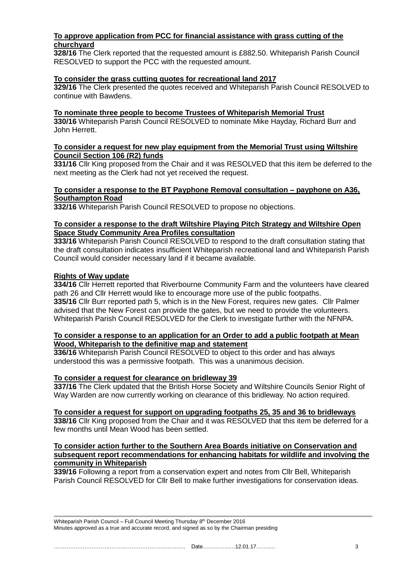# **To approve application from PCC for financial assistance with grass cutting of the churchyard**

**328/16** The Clerk reported that the requested amount is £882.50. Whiteparish Parish Council RESOLVED to support the PCC with the requested amount.

#### **To consider the grass cutting quotes for recreational land 2017**

**329/16** The Clerk presented the quotes received and Whiteparish Parish Council RESOLVED to continue with Bawdens.

**To nominate three people to become Trustees of Whiteparish Memorial Trust 330/16** Whiteparish Parish Council RESOLVED to nominate Mike Hayday, Richard Burr and John Herrett.

#### **To consider a request for new play equipment from the Memorial Trust using Wiltshire Council Section 106 (R2) funds**

**331/16** Cllr King proposed from the Chair and it was RESOLVED that this item be deferred to the next meeting as the Clerk had not yet received the request.

#### **To consider a response to the BT Payphone Removal consultation – payphone on A36, Southampton Road**

**332/16** Whiteparish Parish Council RESOLVED to propose no objections.

## **To consider a response to the draft Wiltshire Playing Pitch Strategy and Wiltshire Open Space Study Community Area Profiles consultation**

**333/16** Whiteparish Parish Council RESOLVED to respond to the draft consultation stating that the draft consultation indicates insufficient Whiteparish recreational land and Whiteparish Parish Council would consider necessary land if it became available.

## **Rights of Way update**

**334/16** Cllr Herrett reported that Riverbourne Community Farm and the volunteers have cleared path 26 and Cllr Herrett would like to encourage more use of the public footpaths. **335/16** Cllr Burr reported path 5, which is in the New Forest, requires new gates. Cllr Palmer advised that the New Forest can provide the gates, but we need to provide the volunteers. Whiteparish Parish Council RESOLVED for the Clerk to investigate further with the NFNPA.

#### **To consider a response to an application for an Order to add a public footpath at Mean Wood, Whiteparish to the definitive map and statement**

**336/16** Whiteparish Parish Council RESOLVED to object to this order and has always understood this was a permissive footpath. This was a unanimous decision.

## **To consider a request for clearance on bridleway 39**

**337/16** The Clerk updated that the British Horse Society and Wiltshire Councils Senior Right of Way Warden are now currently working on clearance of this bridleway. No action required.

#### **To consider a request for support on upgrading footpaths 25, 35 and 36 to bridleways**

**338/16** Cllr King proposed from the Chair and it was RESOLVED that this item be deferred for a few months until Mean Wood has been settled.

#### **To consider action further to the Southern Area Boards initiative on Conservation and subsequent report recommendations for enhancing habitats for wildlife and involving the community in Whiteparish**

**339/16** Following a report from a conservation expert and notes from Cllr Bell, Whiteparish Parish Council RESOLVED for Cllr Bell to make further investigations for conservation ideas.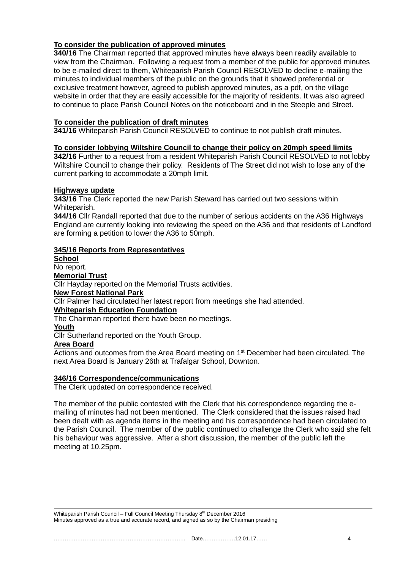# **To consider the publication of approved minutes**

**340/16** The Chairman reported that approved minutes have always been readily available to view from the Chairman. Following a request from a member of the public for approved minutes to be e-mailed direct to them, Whiteparish Parish Council RESOLVED to decline e-mailing the minutes to individual members of the public on the grounds that it showed preferential or exclusive treatment however, agreed to publish approved minutes, as a pdf, on the village website in order that they are easily accessible for the majority of residents. It was also agreed to continue to place Parish Council Notes on the noticeboard and in the Steeple and Street.

# **To consider the publication of draft minutes**

**341/16** Whiteparish Parish Council RESOLVED to continue to not publish draft minutes.

## **To consider lobbying Wiltshire Council to change their policy on 20mph speed limits**

**342/16** Further to a request from a resident Whiteparish Parish Council RESOLVED to not lobby Wiltshire Council to change their policy. Residents of The Street did not wish to lose any of the current parking to accommodate a 20mph limit.

## **Highways update**

**343/16** The Clerk reported the new Parish Steward has carried out two sessions within Whiteparish.

**344/16** Cllr Randall reported that due to the number of serious accidents on the A36 Highways England are currently looking into reviewing the speed on the A36 and that residents of Landford are forming a petition to lower the A36 to 50mph.

## **345/16 Reports from Representatives**

**School** No report.

**Memorial Trust**

Cllr Hayday reported on the Memorial Trusts activities.

## **New Forest National Park**

Cllr Palmer had circulated her latest report from meetings she had attended.

# **Whiteparish Education Foundation**

The Chairman reported there have been no meetings.

# **Youth**

Cllr Sutherland reported on the Youth Group.

#### **Area Board**

Actions and outcomes from the Area Board meeting on 1<sup>st</sup> December had been circulated. The next Area Board is January 26th at Trafalgar School, Downton.

## **346/16 Correspondence/communications**

The Clerk updated on correspondence received.

The member of the public contested with the Clerk that his correspondence regarding the emailing of minutes had not been mentioned. The Clerk considered that the issues raised had been dealt with as agenda items in the meeting and his correspondence had been circulated to the Parish Council. The member of the public continued to challenge the Clerk who said she felt his behaviour was aggressive. After a short discussion, the member of the public left the meeting at 10.25pm.